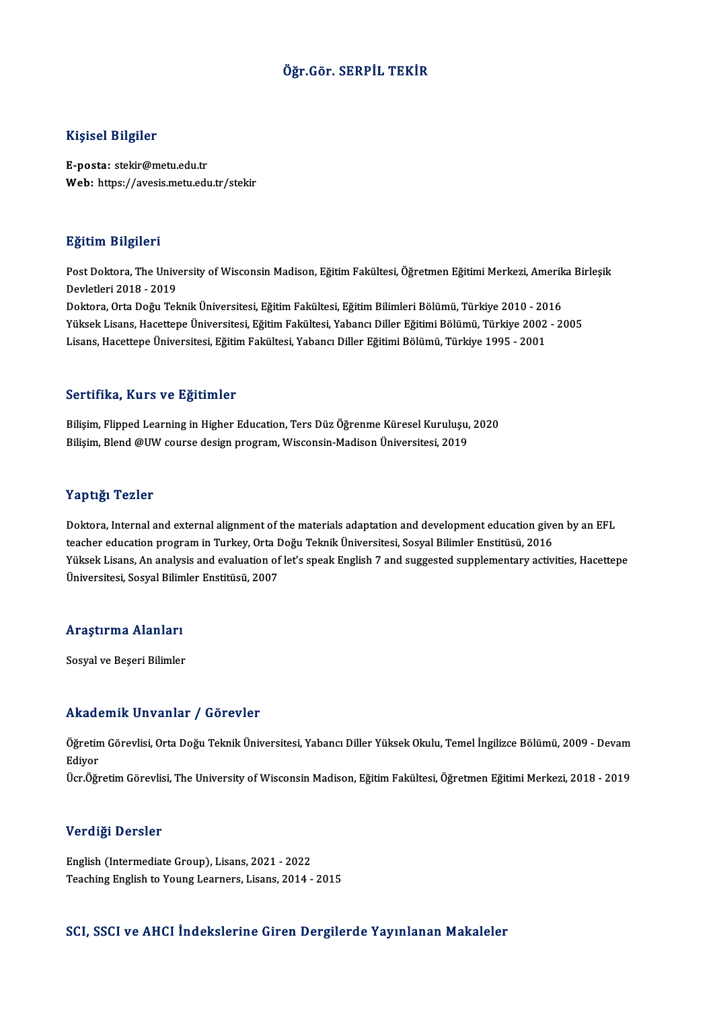### Öğr.Gör. SERPİL TEKİR

#### Kişisel Bilgiler

E-posta: stekir@metu.edu.tr Web: https://avesis.metu.edu.tr/stekir

#### Eğitim Bilgileri

**Eğitim Bilgileri**<br>Post Doktora, The University of Wisconsin Madison, Eğitim Fakültesi, Öğretmen Eğitimi Merkezi, Amerika Birleşik<br>Devletleri 2018, ...2019 Devletleri<br>2018 - Post Doktora, The Unive<br>Devletleri 2018 - 2019<br>Dektora, Orta Değu Tek Post Doktora, The University of Wisconsin Madison, Eğitim Fakültesi, Öğretmen Eğitimi Merkezi, Amerik<br>Devletleri 2018 - 2019<br>Doktora, Orta Doğu Teknik Üniversitesi, Eğitim Fakültesi, Eğitim Bilimleri Bölümü, Türkiye 2010 -Devletleri 2018 - 2019<br>Doktora, Orta Doğu Teknik Üniversitesi, Eğitim Fakültesi, Eğitim Bilimleri Bölümü, Türkiye 2010 - 2016<br>Yüksek Lisans, Hacettepe Üniversitesi, Eğitim Fakültesi, Yabancı Diller Eğitimi Bölümü, Türkiye Doktora, Orta Doğu Teknik Üniversitesi, Eğitim Fakültesi, Eğitim Bilimleri Bölümü, Türkiye 2010 - 20<br>Yüksek Lisans, Hacettepe Üniversitesi, Eğitim Fakültesi, Yabancı Diller Eğitimi Bölümü, Türkiye 2002<br>Lisans, Hacettepe Ün

#### Sertifika, Kurs ve Eğitimler

Se<mark>rtifika, Kurs ve Eğitimler</mark><br>Bilişim, Flipped Learning in Higher Education, Ters Düz Öğrenme Küresel Kuruluşu, 2020<br>Bilişim, Pland @UW seurse design prestam Wissensin Madisen Üniversitesi, 2010 Bilişim, Flipped Learning in Higher Education, Ters Düz Öğrenme Küresel Kuruluşu,<br>Bilişim, Blend @UW course design program, Wisconsin-Madison Üniversitesi, 2019 Bilişim, Blend @UW course design program, Wisconsin-Madison Üniversitesi, 2019<br>Yaptığı Tezler

Doktora, Internal and external alignment of the materials adaptation and development education given by an EFL terpers.<br>1998: Teacher education<br>teacher education program in Turkey, Orta Doğu Teknik Üniversitesi, Sosyal Bilimler Enstitüsü, 2016<br>Vikeek Lisans. An anakvis and evaluation of lat's speak English 7 and suggested sunnlemen Yüksek Lisans, An analysis and evaluation of let's speak English 7 and suggested supplementary activities, Hacettepe<br>Üniversitesi, Sosyal Bilimler Enstitüsü, 2007 teacher education program in Turkey, Orta I<br>Yüksek Lisans, An analysis and evaluation of<br>Üniversitesi, Sosyal Bilimler Enstitüsü, 2007

#### Araştırma Alanları

Sosyal ve Beşeri Bilimler

#### Akademik Unvanlar / Görevler

**Akademik Unvanlar / Görevler**<br>Öğretim Görevlisi, Orta Doğu Teknik Üniversitesi, Yabancı Diller Yüksek Okulu, Temel İngilizce Bölümü, 2009 - Devam<br>Ediyor rrraat<br>Öğretin<br>Ediyor<br>Ücr Öğr Ediyor<br>Ücr.Öğretim Görevlisi, The University of Wisconsin Madison, Eğitim Fakültesi, Öğretmen Eğitimi Merkezi, 2018 - 2019

#### Verdiği Dersler

English (Intermediate Group), Lisans, 2021 - 2022 Teaching English to Young Learners, Lisans, 2014 - 2015

#### SCI, SSCI ve AHCI İndekslerine Giren Dergilerde Yayınlanan Makaleler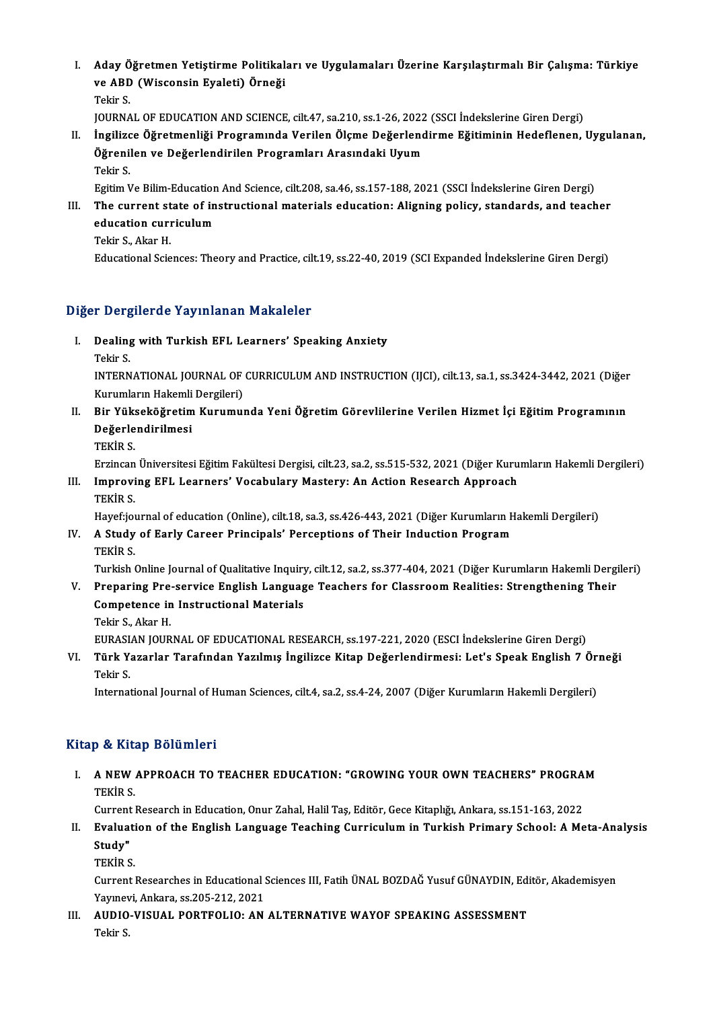I. Aday Öğretmen Yetiştirme Politikaları ve Uygulamaları Üzerine Karşılaştırmalı Bir Çalışma: Türkiye Aday Öğretmen Yetiştirme Politikal<br>ve ABD (Wisconsin Eyaleti) Örneği<br>Tekir S Aday Ö<br>ve ABD<br>Tekir S.<br>JOUPMA ve ABD (Wisconsin Eyaleti) Örneği<br>Tekir S.<br>JOURNAL OF EDUCATION AND SCIENCE, cilt.47, sa.210, ss.1-26, 2022 (SSCI İndekslerine Giren Dergi)<br>İngilizes Öğretmenliği Programında Verilen Öleme Değerlendirme Eğitiminin Hedeflen

Tekir S.<br>I . İngilizce Öğretmenliği Programında Verilen Ölçme Değerlendirme Eğitiminin Hedeflenen, Uygulanan,<br>Öğrenilen ve Değerlendirilen Programları Arasındaki Uyum JOURNAL OF EDUCATION AND SCIENCE, cilt.47, sa.210, ss.1-26, 2022<br>İngilizce Öğretmenliği Programında Verilen Ölçme Değerlend<br>Öğrenilen ve Değerlendirilen Programları Arasındaki Uyum<br>Tekir S Tekir S.

Egitim Ve Bilim-Education And Science, cilt.208, sa.46, ss.157-188, 2021 (SSCI İndekslerine Giren Dergi)

Tekir S.<br>Egitim Ve Bilim-Education And Science, cilt.208, sa.46, ss.157-188, 2021 (SSCI İndekslerine Giren Dergi)<br>III. The current state of instructional materials education: Aligning policy, standards, and teacher<br>educati Egitim Ve Bilim-Education<br>The current state of ineducation curriculum<br>Tekin S. Akar H The current st<br>education curr<br>Tekir S., Akar H.<br>Educational Scio education curriculum<br>Tekir S., Akar H.<br>Educational Sciences: Theory and Practice, cilt.19, ss.22-40, 2019 (SCI Expanded İndekslerine Giren Dergi)

### Diğer Dergilerde Yayınlanan Makaleler

- iğer Dergilerde Yayınlanan Makaleler<br>I. Dealing with Turkish EFL Learners' Speaking Anxiety<br>Telin S n Deng<br>Dealing<br>Tekir S.
	-

Dealing with Turkish EFL Learners' Speaking Anxiety<br>Tekir S.<br>INTERNATIONAL JOURNAL OF CURRICULUM AND INSTRUCTION (IJCI), cilt.13, sa.1, ss.3424-3442, 2021 (Diğer Tekir S.<br>INTERNATIONAL JOURNAL OF<br>Kurumların Hakemli Dergileri)<br>Pir Vülserköğretim Kurumuı INTERNATIONAL JOURNAL OF CURRICULUM AND INSTRUCTION (IJCI), cilt.13, sa.1, ss.3424-3442, 2021 (Diğer Kurumların Hakemli Dergileri)<br>II. Bir Yükseköğretim Kurumunda Yeni Öğretim Görevlilerine Verilen Hizmet İçi Eğitim Progra

- Kurumların Hakemli<br>Bir Yükseköğretim<br>Değerlendirilmesi<br>TEKİD S Bir Yüks<br>Değerle<br>TEKİR S. De<mark>ğerlendirilmesi</mark><br>TEKİR S.<br>Erzincan Üniversitesi Eğitim Fakültesi Dergisi, cilt.23, sa.2, ss.515-532, 2021 (Diğer Kurumların Hakemli Dergileri)
	-

TEKİR S.<br>Erzincan Üniversitesi Eğitim Fakültesi Dergisi, cilt.23, sa.2, ss.515-532, 2021 (Diğer Kuru<br>III. Improving EFL Learners' Vocabulary Mastery: An Action Research Approach<br>TEKİR S Erzincan<br>I<mark>mprovi</mark><br>TEKİR S.<br>Havefriqi Improving EFL Learners' Vocabulary Mastery: An Action Research Approach<br>TEKİR S.<br>Hayef:journal of education (Online), cilt.18, sa.3, ss.426-443, 2021 (Diğer Kurumların Hakemli Dergileri)<br>A Study of Farly Career Principale'

## TEKİR S.<br>Hayef:journal of education (Online), cilt.18, sa.3, ss.426-443, 2021 (Diğer Kurumların I<br>IV. A Study of Early Career Principals' Perceptions of Their Induction Program<br>TEKİR S. Hayef:jo<mark>l</mark><br>A Study<br>TEKİR S. A Study of Early Career Principals' Perceptions of Their Induction Program<br>TEKİR S.<br>Turkish Online Journal of Qualitative Inquiry, cilt.12, sa.2, ss.377-404, 2021 (Diğer Kurumların Hakemli Dergileri)

TEKİR S.<br>Turkish Online Journal of Qualitative Inquiry, cilt.12, sa.2, ss.377-404, 2021 (Diğer Kurumların Hakemli Dergi<br>V. Preparing Pre-service English Language Teachers for Classroom Realities: Strengthening Their<br>Co Turkish Online Journal of Qualitative Inquiry<br>Preparing Pre-service English Languag<br>Competence in Instructional Materials<br>Tekin S. Almy H V. Preparing Pre-service English Language Teachers for Classroom Realities: Strengthening Their<br>Competence in Instructional Materials<br>Tekir S., Akar H.

EURASIAN JOURNAL OF EDUCATIONAL RESEARCH, ss.197-221, 2020 (ESCI İndekslerine Giren Dergi)

Tekir S., Akar H.<br>EURASIAN JOURNAL OF EDUCATIONAL RESEARCH, ss.197-221, 2020 (ESCI İndekslerine Giren Dergi)<br>VI. Türk Yazarlar Tarafından Yazılmış İngilizce Kitap Değerlendirmesi: Let's Speak English 7 Örneği<br>Tekir S EURASI<br><mark>Türk Y</mark>:<br>Tekir S.<br>Internat Türk Yazarlar Tarafından Yazılmış İngilizce Kitap Değerlendirmesi: Let's Speak English 7 Ör<br>Tekir S.<br>International Journal of Human Sciences, cilt.4, sa.2, ss.4-24, 2007 (Diğer Kurumların Hakemli Dergileri)

International Journal of Human Sciences, cilt.4, sa.2, ss.4-24, 2007 (Diğer Kurumların Hakemli Dergileri)<br>Kitap & Kitap Bölümleri

Itap & Kitap Bölümleri<br>I. A NEW APPROACH TO TEACHER EDUCATION: "GROWING YOUR OWN TEACHERS" PROGRAM<br>TEVID S A NEW<br>A NEW<br>TEKİR S. A NEW APPROACH TO TEACHER EDUCATION: "GROWING YOUR OWN TEACHERS" PROGRA<br>TEKİR S.<br>Current Research in Education, Onur Zahal, Halil Taş, Editör, Gece Kitaplığı, Ankara, ss.151-163, 2022<br>Evaluation of the English Language Tea

TEKİR S.<br>Current Research in Education, Onur Zahal, Halil Taş, Editör, Gece Kitaplığı, Ankara, ss.151-163, 2022<br>II. Evaluation of the English Language Teaching Curriculum in Turkish Primary School: A Meta-Analysis<br>Stud Current<br><mark>Evalua</mark>t<br>Study"<br>TEVID S Evaluati<br>Study"<br>TEKİR S.<br>Gunnat l

Study"<br>TEKİR S.<br>Current Researches in Educational Sciences III, Fatih ÜNAL BOZDAĞ Yusuf GÜNAYDIN, Editör, Akademisyen<br>Yaunavi, Ankana, 65.305.212.2021 TEKİR S.<br>Current Researches in Educational S.<br>Yayınevi, Ankara, ss.205-212, 2021<br>AUDIO VISUAL, PORTEOLIO: AN Current Researches in Educational Sciences III, Fatih ÜNAL BOZDAĞ Yusuf GÜNAYDIN, Edi<br>Yayınevi, Ankara, ss.205-212, 2021<br>III. AUDIO-VISUAL PORTFOLIO: AN ALTERNATIVE WAYOF SPEAKING ASSESSMENT<br>Tekir S

Yayınevi, Ankara, ss.205-212, 2021<br>III. AUDIO-VISUAL PORTFOLIO: AN ALTERNATIVE WAYOF SPEAKING ASSESSMENT<br>Tekir S.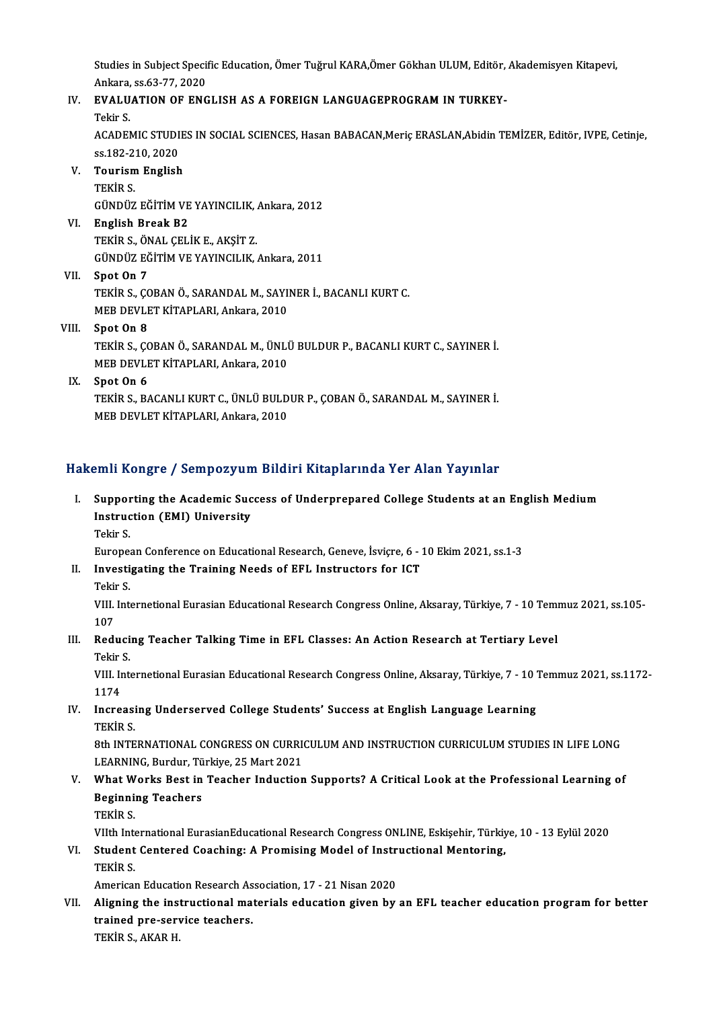Studies in Subject Specific Education, Ömer Tuğrul KARA,Ömer Gökhan ULUM, Editör, Akademisyen Kitapevi,<br>Ankana, 98.63.77.2020 Studies in Subject Speci<br>Ankara, ss.63-77, 2020<br>EVALUATION OF ENC Studies in Subject Specific Education, Ömer Tuğrul KARA,Ömer Gökhan ULUM, Editör,<br>Ankara, ss.63-77, 2020<br>IV. EVALUATION OF ENGLISH AS A FOREIGN LANGUAGEPROGRAM IN TURKEY-<br>Tekin S

# Ankara, ss.63-77, 2020<br>IV. EVALUATION OF ENGLISH AS A FOREIGN LANGUAGEPROGRAM IN TURKEY-<br>Tekir S.

EVALUATION OF ENGLISH AS A FOREIGN LANGUAGEPROGRAM IN TURKEY-<br>Tekir S.<br>ACADEMIC STUDIES IN SOCIAL SCIENCES, Hasan BABACAN,Meriç ERASLAN,Abidin TEMİZER, Editör, IVPE, Cetinje,<br>98.182.210.2020 Tekir S.<br>ACADEMIC STUDI<br>ss.182-210, 2020<br>Tourism English ACADEMIC STUDIE<br>ss.182-210, 2020<br>V. Tourism English<br>TEVIP S

# ss.182-2<br><mark>Tourism</mark><br>TEKİR S.<br>CÜNDÜZ

Tourism English<br>TEKİR S.<br>GÜNDÜZ EĞİTİM VE YAYINCILIK, Ankara, 2012<br>English Preek P?

## TEKİR S.<br>GÜNDÜZ EĞİTİM VE YAYINCILIK, .<br>VI. English Break B2<br>TEKİR S., ÖNAL ÇELİK E., AKŞİT Z. GÜNDÜZ EĞİTİM VE YAYINCILIK, ,<br>English Break B2<br>TEKİR S., ÖNAL ÇELİK E., AKŞİT Z.<br>CÜNDÜZ EĞİTİM VE YAYINCILIK GÜNDÜZ EĞİTİMVEYAYINCILIK,Ankara,2011

VII Spot On 7 TEKİR S., ÇOBAN Ö., SARANDAL M., SAYINER İ., BACANLI KURT C. MEB DEVLET KİTAPLARI, Ankara, 2010

### VIII. Spot On 8

MEB DEVLET KİTAPLARI, Ankara, 2010<br>Spot On 8<br>TEKİR S., ÇOBAN Ö., SARANDAL M., ÜNLÜ BULDUR P., BACANLI KURT C., SAYINER İ.<br>MER DEVLET KİTARLARLARI ALIRER 2010 Spot On 8<br>TEKİR S., ÇOBAN Ö., SARANDAL M., ÜNLİ<br>MEB DEVLET KİTAPLARI, Ankara, 2010<br>Spot On 6 MEB DEVLET KİTAPLARI, Ankara, 2010<br>IX. Spot On 6

MEB DEVLET KİTAPLARI, Ankara, 2010<br>Spot On 6<br>TEKİR S., BACANLI KURT C., ÜNLÜ BULDUR P., ÇOBAN Ö., SARANDAL M., SAYINER İ.<br>MER DEVLET KİTARLARLARI ALIRER 2010 Spot On 6<br>TEKİR S., BACANLI KURT C., ÜNLÜ BULD<br>MEB DEVLET KİTAPLARI, Ankara, 2010

# MEB DEVLET KİTAPLARI, Ankara, 2010<br>Hakemli Kongre / Sempozyum Bildiri Kitaplarında Yer Alan Yayınlar

### I. Supporting the Academic Success of Underprepared College Students at an English Medium Surfruction (Follipse) and<br>Supporting the Academic Suc<br>Instruction (EMI) University<br>Tekin S Suppor<br>Instruc<br>Tekir S.

Tekir S.<br>European Conference on Educational Research, Geneve, İsviçre, 6 - 10 Ekim 2021, ss.1-3

# Tekir S.<br>European Conference on Educational Research, Geneve, İsviçre, 6 - :<br>II. Investigating the Training Needs of EFL Instructors for ICT<br>Tekins Europe<mark>:</mark><br>I**nvesti**<br>Tekir S.

Investigating the Training Needs of EFL Instructors for ICT<br>Tekir S.<br>VIII. Internetional Eurasian Educational Research Congress Online, Aksaray, Türkiye, 7 - 10 Temmuz 2021, ss.105-<br>107 Teki<mark>i</mark><br>VIII.<br>107 VIII. Internetional Eurasian Educational Research Congress Online, Aksaray, Türkiye, 7 - 10 Tem<br>107<br>III. Reducing Teacher Talking Time in EFL Classes: An Action Research at Tertiary Level<br>Tekin S

# 107<br><mark>Reduci</mark><br>Tekir S.<br><sup>VIII Jat</sub></sup> Reducing Teacher Talking Time in EFL Classes: An Action Research at Tertiary Level<br>Tekir S.<br>VIII. Internetional Eurasian Educational Research Congress Online, Aksaray, Türkiye, 7 - 10 Temmuz 2021, ss.1172-<br>1174

Tekir<br>VIII. In<br>1174<br>Insta VIII. Internetional Eurasian Educational Research Congress Online, Aksaray, Türkiye, 7 - 10 7<br>1174<br>IV. Increasing Underserved College Students' Success at English Language Learning<br>TEVID S

# 1174<br>Increasi<br>TEKİR S.<br><sup>9th INTE</sup> Increasing Underserved College Students' Success at English Language Learning<br>TEKİR S.<br>8th INTERNATIONAL CONGRESS ON CURRICULUM AND INSTRUCTION CURRICULUM STUDIES IN LIFE LONG<br>LEARNING Burdur Türkiye 25 Mert 2021

TEKİR S.<br>8th INTERNATIONAL CONGRESS ON CURRI<br>LEARNING, Burdur, Türkiye, 25 Mart 2021<br>What Works Best in Teacher Industion 8th INTERNATIONAL CONGRESS ON CURRICULUM AND INSTRUCTION CURRICULUM STUDIES IN LIFE LONG<br>LEARNING, Burdur, Türkiye, 25 Mart 2021<br>V. What Works Best in Teacher Induction Supports? A Critical Look at the Professional Learnin

## LEARNING, Burdur, Tü<br>What Works Best in<br>Beginning Teachers<br>TEKip S What W<br>Beginni:<br>TEKİR S.<br><sup>VIIth</sup> Inte Beginning Teachers<br>TEKİR S.<br>VIIth International EurasianEducational Research Congress ONLINE, Eskişehir, Türkiye, 10 - 13 Eylül 2020<br>Student Centered Coaching: A Promising Model of Instructional Mentering

## TEKİR S.<br>VIIth International EurasianEducational Research Congress ONLINE, Eskişehir, Türkiy<br>VI. Student Centered Coaching: A Promising Model of Instructional Mentoring,<br>TEKİR S VIIth Inte<br>Student<br>TEKİR S. VI. Student Centered Coaching: A Promising Model of Instructional Mentoring,<br>TEKIR S.<br>American Education Research Association, 17 - 21 Nisan 2020

## TEKİR S.<br>American Education Research Association, 17 - 21 Nisan 2020<br>VII. Aligning the instructional materials education given by an EFL teacher education program for better<br>trained nre servies teachers American Education Research As<br>Aligning the instructional matrained pre-service teachers.<br>TEVID S. AVAD H Aligning the ins<br>trained pre-serv<br>TEKİR S., AKAR H.